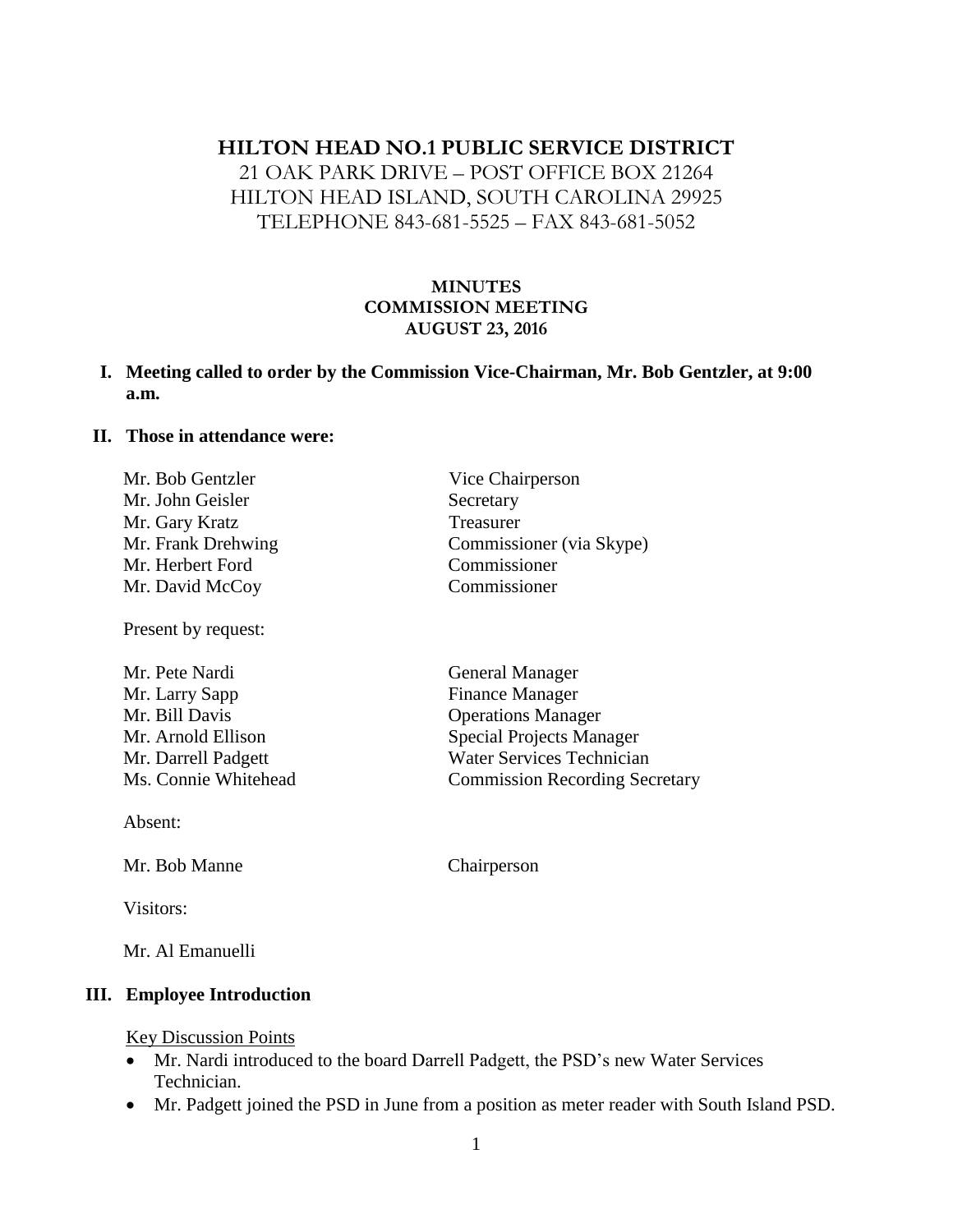# **HILTON HEAD NO.1 PUBLIC SERVICE DISTRICT**

21 OAK PARK DRIVE – POST OFFICE BOX 21264 HILTON HEAD ISLAND, SOUTH CAROLINA 29925 TELEPHONE 843-681-5525 – FAX 843-681-5052

## **MINUTES COMMISSION MEETING AUGUST 23, 2016**

### **I. Meeting called to order by the Commission Vice-Chairman, Mr. Bob Gentzler, at 9:00 a.m.**

#### **II. Those in attendance were:**

| Mr. Bob Gentzler   | Vice Chairperson         |
|--------------------|--------------------------|
| Mr. John Geisler   | Secretary                |
| Mr. Gary Kratz     | Treasurer                |
| Mr. Frank Drehwing | Commissioner (via Skype) |
| Mr. Herbert Ford   | Commissioner             |
| Mr. David McCoy    | Commissioner             |
|                    |                          |

Mr. Pete Nardi General Manager Mr. Larry Sapp Finance Manager Mr. Bill Davis Operations Manager Mr. Arnold Ellison Special Projects Manager Mr. Darrell Padgett Water Services Technician Ms. Connie Whitehead Commission Recording Secretary

Absent:

Mr. Bob Manne Chairperson

Present by request:

Visitors:

Mr. Al Emanuelli

#### **III. Employee Introduction**

#### Key Discussion Points

- Mr. Nardi introduced to the board Darrell Padgett, the PSD's new Water Services Technician.
- Mr. Padgett joined the PSD in June from a position as meter reader with South Island PSD.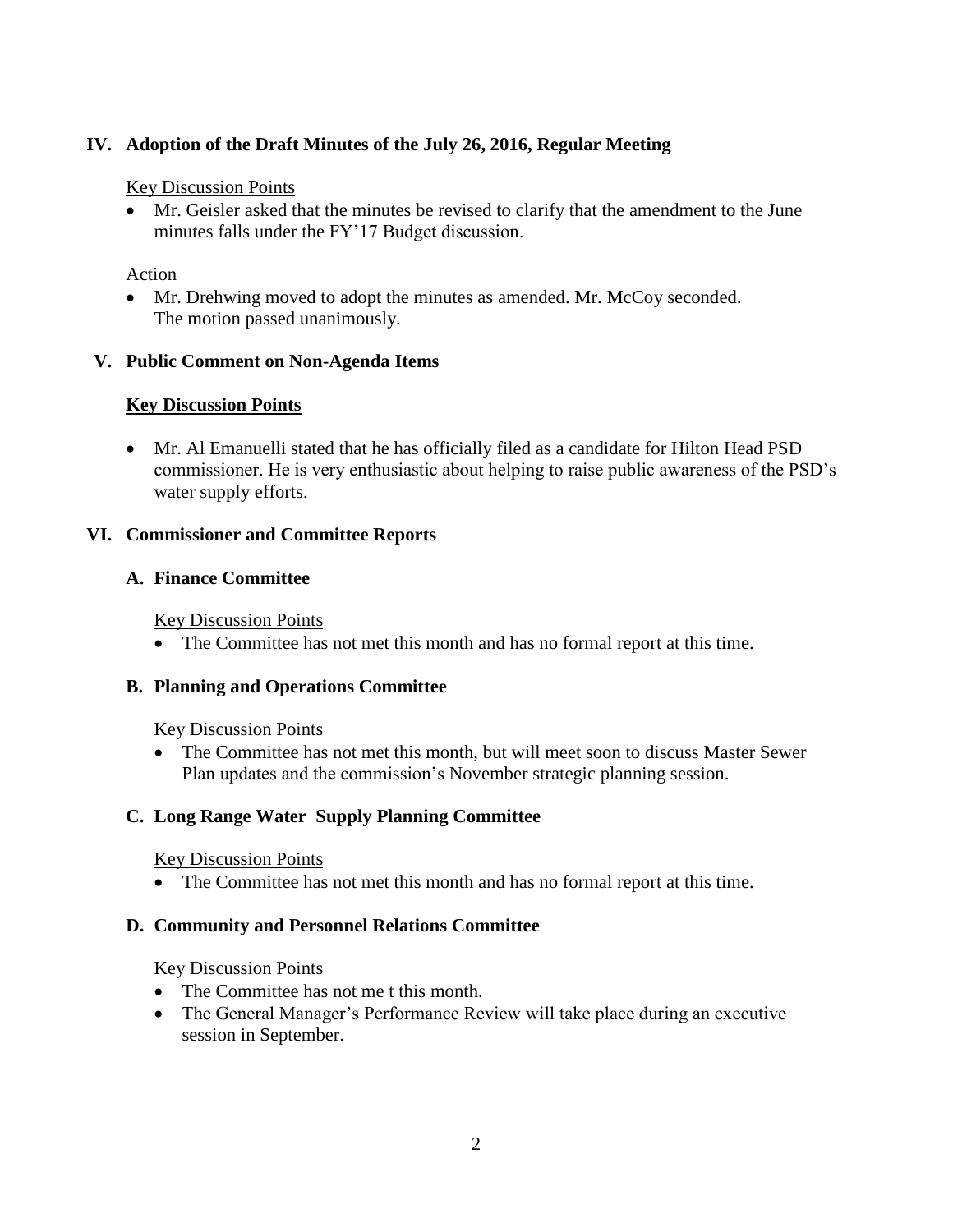# **IV. Adoption of the Draft Minutes of the July 26, 2016, Regular Meeting**

### Key Discussion Points

 Mr. Geisler asked that the minutes be revised to clarify that the amendment to the June minutes falls under the FY'17 Budget discussion.

### Action

 Mr. Drehwing moved to adopt the minutes as amended. Mr. McCoy seconded. The motion passed unanimously.

### **V. Public Comment on Non-Agenda Items**

## **Key Discussion Points**

 Mr. Al Emanuelli stated that he has officially filed as a candidate for Hilton Head PSD commissioner. He is very enthusiastic about helping to raise public awareness of the PSD's water supply efforts.

### **VI. Commissioner and Committee Reports**

### **A. Finance Committee**

Key Discussion Points

The Committee has not met this month and has no formal report at this time.

#### **B. Planning and Operations Committee**

#### Key Discussion Points

 The Committee has not met this month, but will meet soon to discuss Master Sewer Plan updates and the commission's November strategic planning session.

# **C. Long Range Water Supply Planning Committee**

## Key Discussion Points

The Committee has not met this month and has no formal report at this time.

## **D. Community and Personnel Relations Committee**

#### Key Discussion Points

- The Committee has not me t this month.
- The General Manager's Performance Review will take place during an executive session in September.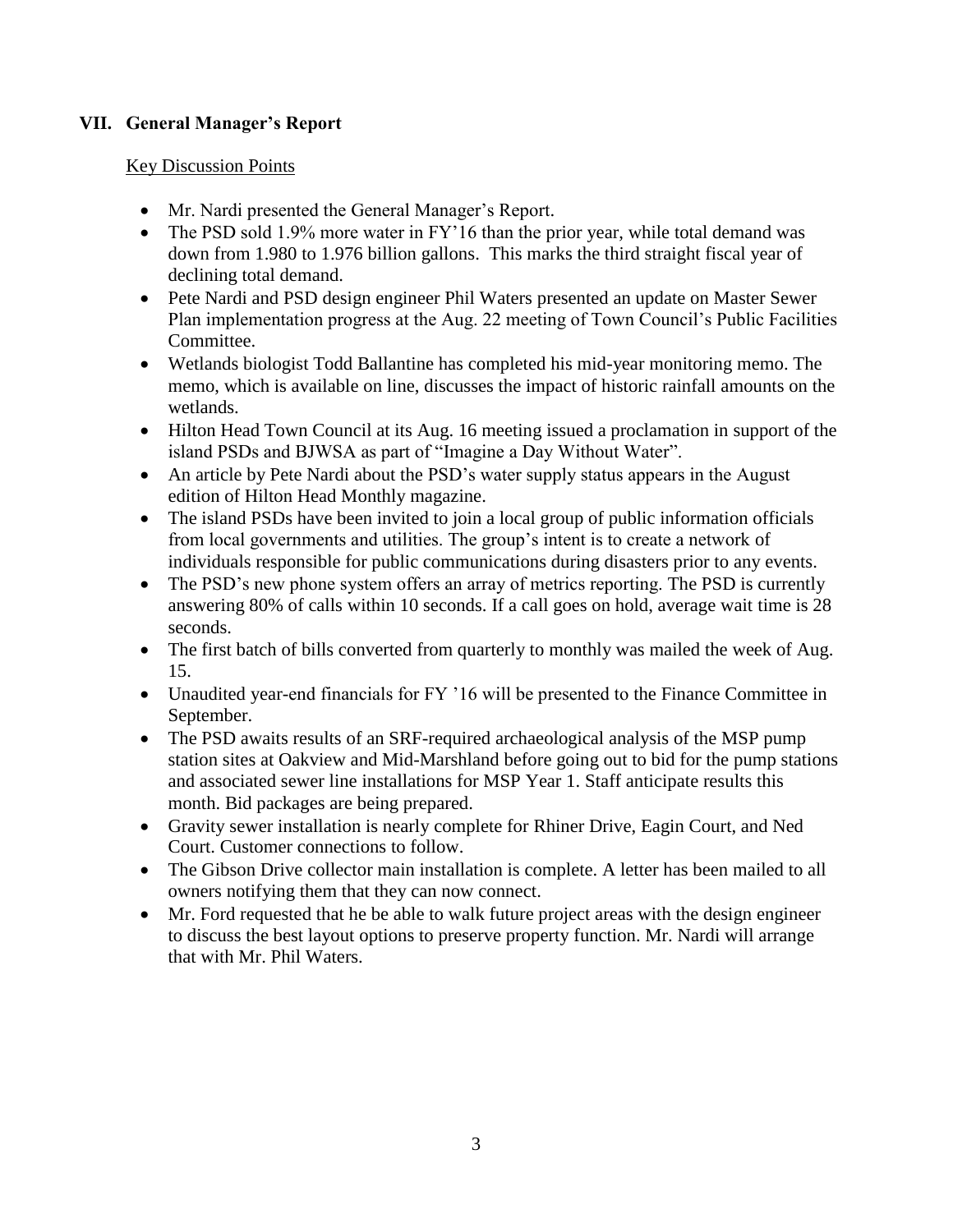# **VII. General Manager's Report**

### Key Discussion Points

- Mr. Nardi presented the General Manager's Report.
- The PSD sold 1.9% more water in FY'16 than the prior year, while total demand was down from 1.980 to 1.976 billion gallons. This marks the third straight fiscal year of declining total demand.
- Pete Nardi and PSD design engineer Phil Waters presented an update on Master Sewer Plan implementation progress at the Aug. 22 meeting of Town Council's Public Facilities Committee.
- Wetlands biologist Todd Ballantine has completed his mid-year monitoring memo. The memo, which is available on line, discusses the impact of historic rainfall amounts on the wetlands.
- Hilton Head Town Council at its Aug. 16 meeting issued a proclamation in support of the island PSDs and BJWSA as part of "Imagine a Day Without Water".
- An article by Pete Nardi about the PSD's water supply status appears in the August edition of Hilton Head Monthly magazine.
- The island PSDs have been invited to join a local group of public information officials from local governments and utilities. The group's intent is to create a network of individuals responsible for public communications during disasters prior to any events.
- The PSD's new phone system offers an array of metrics reporting. The PSD is currently answering 80% of calls within 10 seconds. If a call goes on hold, average wait time is 28 seconds.
- The first batch of bills converted from quarterly to monthly was mailed the week of Aug. 15.
- Unaudited year-end financials for FY '16 will be presented to the Finance Committee in September.
- The PSD awaits results of an SRF-required archaeological analysis of the MSP pump station sites at Oakview and Mid-Marshland before going out to bid for the pump stations and associated sewer line installations for MSP Year 1. Staff anticipate results this month. Bid packages are being prepared.
- Gravity sewer installation is nearly complete for Rhiner Drive, Eagin Court, and Ned Court. Customer connections to follow.
- The Gibson Drive collector main installation is complete. A letter has been mailed to all owners notifying them that they can now connect.
- Mr. Ford requested that he be able to walk future project areas with the design engineer to discuss the best layout options to preserve property function. Mr. Nardi will arrange that with Mr. Phil Waters.